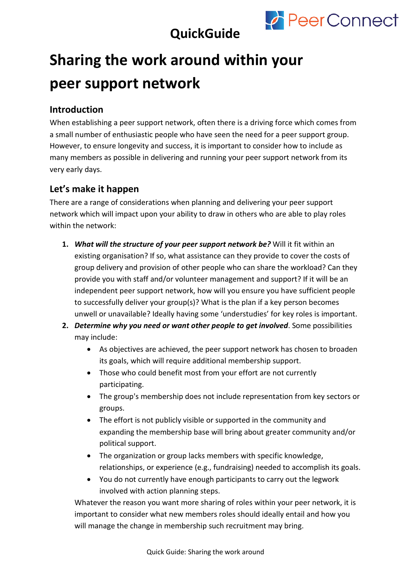

## **QuickGuide**

# **Sharing the work around within your peer support network**

#### **Introduction**

When establishing a peer support network, often there is a driving force which comes from a small number of enthusiastic people who have seen the need for a peer support group. However, to ensure longevity and success, it is important to consider how to include as many members as possible in delivering and running your peer support network from its very early days.

### **Let's make it happen**

There are a range of considerations when planning and delivering your peer support network which will impact upon your ability to draw in others who are able to play roles within the network:

- **1.** *What will the structure of your peer support network be?* Will it fit within an existing organisation? If so, what assistance can they provide to cover the costs of group delivery and provision of other people who can share the workload? Can they provide you with staff and/or volunteer management and support? If it will be an independent peer support network, how will you ensure you have sufficient people to successfully deliver your group(s)? What is the plan if a key person becomes unwell or unavailable? Ideally having some 'understudies' for key roles is important.
- **2.** *Determine why you need or want other people to get involved*. Some possibilities may include:
	- As objectives are achieved, the peer support network has chosen to broaden its goals, which will require additional membership support.
	- Those who could benefit most from your effort are not currently participating.
	- The group's membership does not include representation from key sectors or groups.
	- The effort is not publicly visible or supported in the community and expanding the membership base will bring about greater community and/or political support.
	- The organization or group lacks members with specific knowledge, relationships, or experience (e.g., fundraising) needed to accomplish its goals.
	- You do not currently have enough participants to carry out the legwork involved with action planning steps.

Whatever the reason you want more sharing of roles within your peer network, it is important to consider what new members roles should ideally entail and how you will manage the change in membership such recruitment may bring.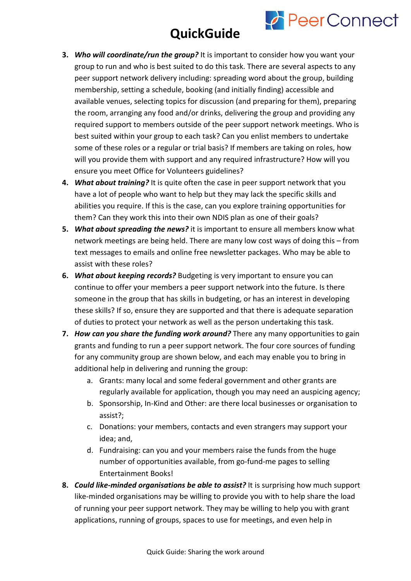# **QuickGuide**

**PeerConnect** 

- **3.** *Who will coordinate/run the group?* It is important to consider how you want your group to run and who is best suited to do this task. There are several aspects to any peer support network delivery including: spreading word about the group, building membership, setting a schedule, booking (and initially finding) accessible and available venues, selecting topics for discussion (and preparing for them), preparing the room, arranging any food and/or drinks, delivering the group and providing any required support to members outside of the peer support network meetings. Who is best suited within your group to each task? Can you enlist members to undertake some of these roles or a regular or trial basis? If members are taking on roles, how will you provide them with support and any required infrastructure? How will you ensure you meet Office for Volunteers guidelines?
- **4.** *What about training?* It is quite often the case in peer support network that you have a lot of people who want to help but they may lack the specific skills and abilities you require. If this is the case, can you explore training opportunities for them? Can they work this into their own NDIS plan as one of their goals?
- **5.** *What about spreading the news?* it is important to ensure all members know what network meetings are being held. There are many low cost ways of doing this – from text messages to emails and online free newsletter packages. Who may be able to assist with these roles?
- **6.** *What about keeping records?* Budgeting is very important to ensure you can continue to offer your members a peer support network into the future. Is there someone in the group that has skills in budgeting, or has an interest in developing these skills? If so, ensure they are supported and that there is adequate separation of duties to protect your network as well as the person undertaking this task.
- **7.** *How can you share the funding work around?* There any many opportunities to gain grants and funding to run a peer support network. The four core sources of funding for any community group are shown below, and each may enable you to bring in additional help in delivering and running the group:
	- a. Grants: many local and some federal government and other grants are regularly available for application, though you may need an auspicing agency;
	- b. Sponsorship, In-Kind and Other: are there local businesses or organisation to assist?;
	- c. Donations: your members, contacts and even strangers may support your idea; and,
	- d. Fundraising: can you and your members raise the funds from the huge number of opportunities available, from go-fund-me pages to selling Entertainment Books!
- **8.** *Could like-minded organisations be able to assist?* It is surprising how much support like-minded organisations may be willing to provide you with to help share the load of running your peer support network. They may be willing to help you with grant applications, running of groups, spaces to use for meetings, and even help in